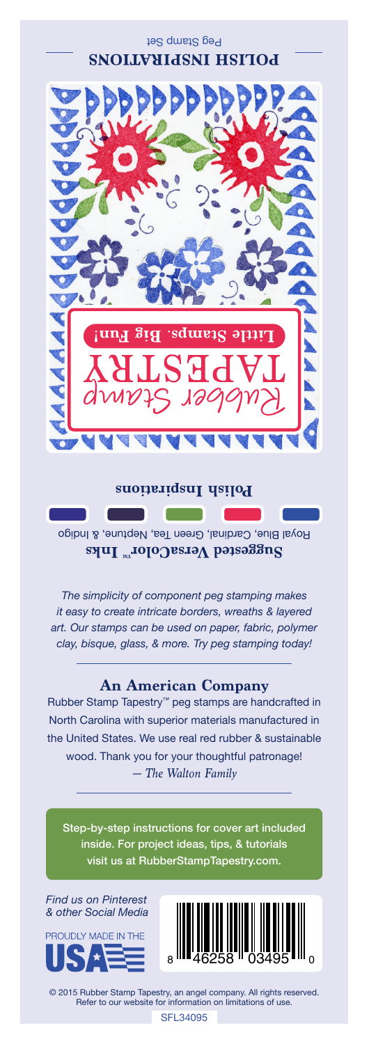## Peg Stamp Set **SNOLLVALISNI HSITOJ**



**Polish Inspirations**

Royal Blue, Cardinal, Green Tea, Neptune, & Indigo **Suggested VersaColor** Inks

*The simplicity of component peg stamping makes it easy to create intricate borders, wreaths & layered art. Our stamps can be used on paper, fabric, polymer clay, bisque, glass, & more. Try peg stamping today!*

## **An American Company**

*— The Walton Family* Rubber Stamp Tapestry™ peg stamps are handcrafted in North Carolina with superior materials manufactured in the United States. We use real red rubber & sustainable wood. Thank you for your thoughtful patronage!

Step-by-step instructions for cover art included inside. For project ideas, tips, & tutorials visit us at RubberStampTapestry.com.

*Find us on Pinterest & other Social Media*





© 2015 Rubber Stamp Tapestry, an angel company. All rights reserved. Refer to our website for information on limitations of use.